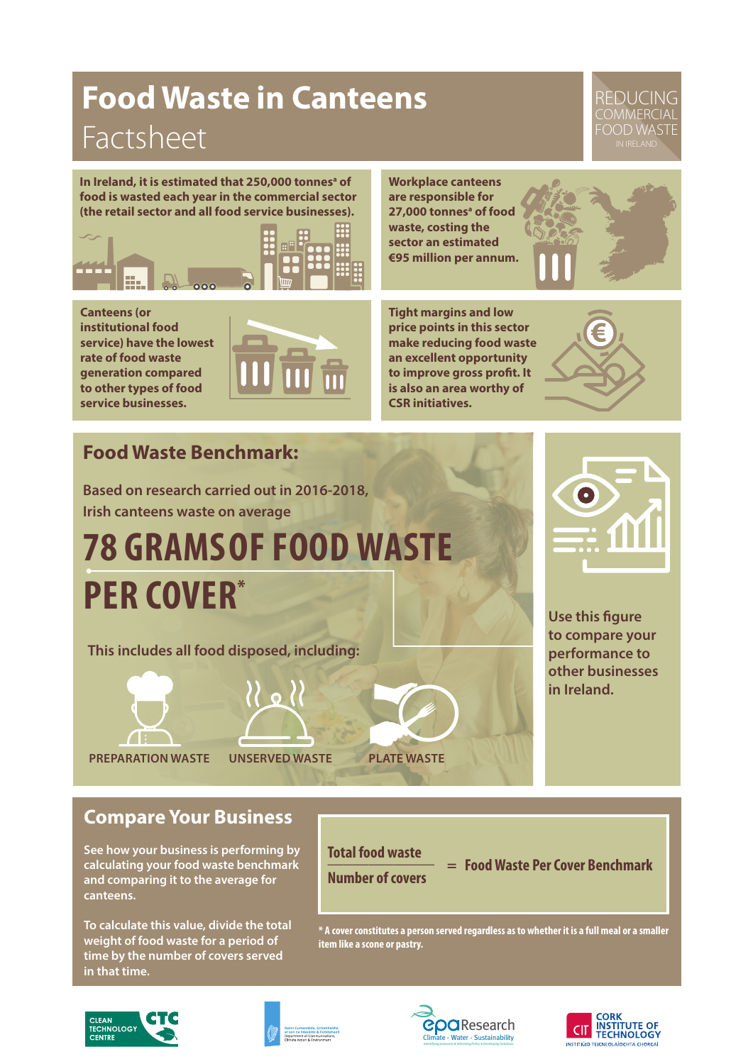## **Food Waste in Canteens**  Factsheet

#### REDUCING COMMERCIAL FOOD WASTE

In Ireland, it is estimated that 250,000 tonnes<sup>a</sup> of **food is wasted each year in the commercial sector (the retail sector and all food service businesses).** 



**Workplace canteens are responsible for** 27,000 tonnes<sup>a</sup> of food **waste, costing the sector an estimated €95 million per annum.**



**Canteens (or institutional food service) have the lowest rate of food waste generation compared to other types of food service businesses.** 

**Tight margins and low price points in this sector make reducing food waste an excellent opportunity to improve gross profit. It is also an area worthy of CSR initiatives.**



## **Food Waste Benchmark:**

**Based on research carried out in 2016-2018, Irish canteens waste on average**

# **78 GRAMS OF FOOD WASTE PER COVER\***

**This includes all food disposed, including:**



**PREPARATION WASTE UNSERVED WASTE PLATE WASTE**



**Use this figure to compare your performance to other businesses in Ireland.** 

#### **Compare Your Business**

**See how your business is performing by calculating your food waste benchmark and comparing it to the average for canteens.**

**To calculate this value, divide the total weight of food waste for a period of time by the number of covers served in that time.**

**Total food waste \_\_\_\_\_\_\_\_\_\_\_\_\_ Number of covers**

 **= Food Waste Per Cover Benchmark**

**\* A cover constitutes a person served regardless as to whether it is a full meal or a smaller item like a scone or pastry.**